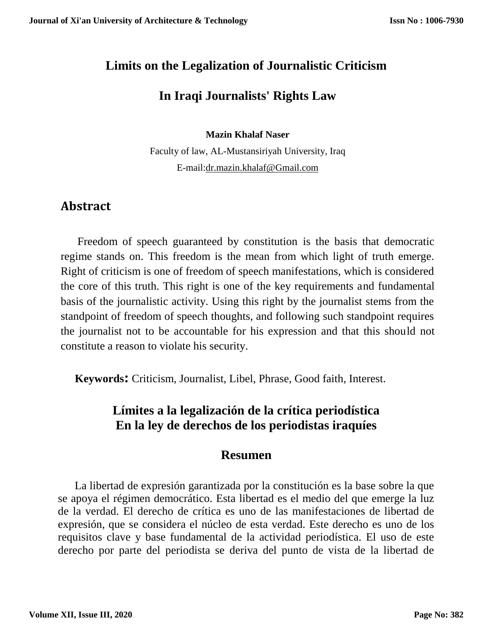# **Limits on the Legalization of Journalistic Criticism**

# **In Iraqi Journalists' Rights Law**

**Mazin Khalaf Naser** 

Faculty of law, AL-Mustansiriyah University, Iraq E-mail:dr.mazin.khalaf@Gmail.com

# **Abstract**

 Freedom of speech guaranteed by constitution is the basis that democratic regime stands on. This freedom is the mean from which light of truth emerge. Right of criticism is one of freedom of speech manifestations, which is considered the core of this truth. This right is one of the key requirements and fundamental basis of the journalistic activity. Using this right by the journalist stems from the standpoint of freedom of speech thoughts, and following such standpoint requires the journalist not to be accountable for his expression and that this should not constitute a reason to violate his security.

 **Keywords:** Criticism, Journalist, Libel, Phrase, Good faith, Interest.

# **Límites a la legalización de la crítica periodística En la ley de derechos de los periodistas iraquíes**

### **Resumen**

 La libertad de expresión garantizada por la constitución es la base sobre la que se apoya el régimen democrático. Esta libertad es el medio del que emerge la luz de la verdad. El derecho de crítica es uno de las manifestaciones de libertad de expresión, que se considera el núcleo de esta verdad. Este derecho es uno de los requisitos clave y base fundamental de la actividad periodística. El uso de este derecho por parte del periodista se deriva del punto de vista de la libertad de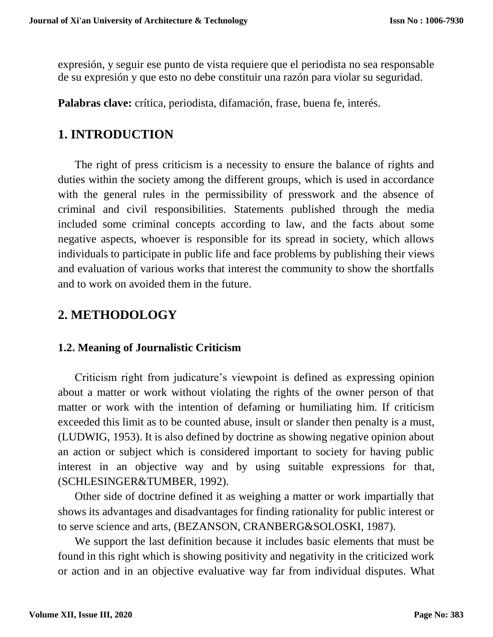expresión, y seguir ese punto de vista requiere que el periodista no sea responsable de su expresión y que esto no debe constituir una razón para violar su seguridad.

**Palabras clave:** crítica, periodista, difamación, frase, buena fe, interés.

### **1. INTRODUCTION**

 The right of press criticism is a necessity to ensure the balance of rights and duties within the society among the different groups, which is used in accordance with the general rules in the permissibility of presswork and the absence of criminal and civil responsibilities. Statements published through the media included some criminal concepts according to law, and the facts about some negative aspects, whoever is responsible for its spread in society, which allows individuals to participate in public life and face problems by publishing their views and evaluation of various works that interest the community to show the shortfalls and to work on avoided them in the future.

## **2. METHODOLOGY**

### **1.2. Meaning of Journalistic Criticism**

 Criticism right from judicature's viewpoint is defined as expressing opinion about a matter or work without violating the rights of the owner person of that matter or work with the intention of defaming or humiliating him. If criticism exceeded this limit as to be counted abuse, insult or slander then penalty is a must, (LUDWIG, 1953). It is also defined by doctrine as showing negative opinion about an action or subject which is considered important to society for having public interest in an objective way and by using suitable expressions for that, (SCHLESINGER&TUMBER, 1992).

 Other side of doctrine defined it as weighing a matter or work impartially that shows its advantages and disadvantages for finding rationality for public interest or to serve science and arts, (BEZANSON, CRANBERG&SOLOSKI, 1987).

 We support the last definition because it includes basic elements that must be found in this right which is showing positivity and negativity in the criticized work or action and in an objective evaluative way far from individual disputes. What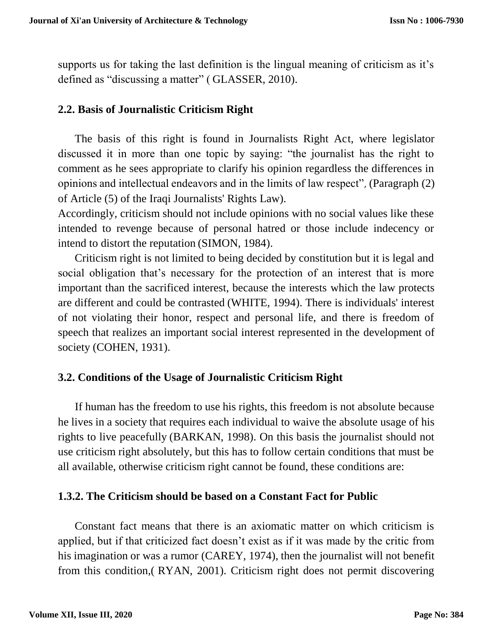supports us for taking the last definition is the lingual meaning of criticism as it's defined as "discussing a matter" ( GLASSER, 2010).

#### **2.2. Basis of Journalistic Criticism Right**

 The basis of this right is found in Journalists Right Act, where legislator discussed it in more than one topic by saying: "the journalist has the right to comment as he sees appropriate to clarify his opinion regardless the differences in opinions and intellectual endeavors and in the limits of law respect", (Paragraph (2) of Article (5) of the Iraqi Journalists' Rights Law).

Accordingly, criticism should not include opinions with no social values like these intended to revenge because of personal hatred or those include indecency or intend to distort the reputation (SIMON, 1984).

 Criticism right is not limited to being decided by constitution but it is legal and social obligation that's necessary for the protection of an interest that is more important than the sacrificed interest, because the interests which the law protects are different and could be contrasted (WHITE, 1994). There is individuals' interest of not violating their honor, respect and personal life, and there is freedom of speech that realizes an important social interest represented in the development of society (COHEN, 1931).

### **3.2. Conditions of the Usage of Journalistic Criticism Right**

If human has the freedom to use his rights, this freedom is not absolute because he lives in a society that requires each individual to waive the absolute usage of his rights to live peacefully (BARKAN, 1998). On this basis the journalist should not use criticism right absolutely, but this has to follow certain conditions that must be all available, otherwise criticism right cannot be found, these conditions are:

#### **1.3.2. The Criticism should be based on a Constant Fact for Public**

Constant fact means that there is an axiomatic matter on which criticism is applied, but if that criticized fact doesn't exist as if it was made by the critic from his imagination or was a rumor (CAREY, 1974), then the journalist will not benefit from this condition,( RYAN, 2001). Criticism right does not permit discovering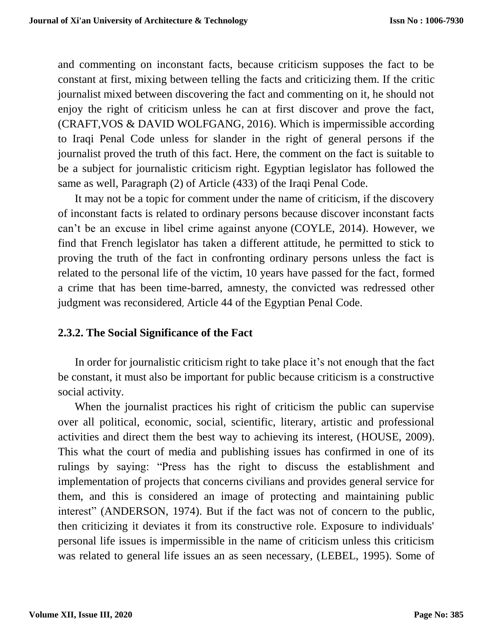and commenting on inconstant facts, because criticism supposes the fact to be constant at first, mixing between telling the facts and criticizing them. If the critic journalist mixed between discovering the fact and commenting on it, he should not enjoy the right of criticism unless he can at first discover and prove the fact, (CRAFT,VOS & DAVID WOLFGANG, 2016). Which is impermissible according to Iraqi Penal Code unless for slander in the right of general persons if the journalist proved the truth of this fact. Here, the comment on the fact is suitable to be a subject for journalistic criticism right. Egyptian legislator has followed the same as well, Paragraph (2) of Article (433) of the Iraqi Penal Code.

 It may not be a topic for comment under the name of criticism, if the discovery of inconstant facts is related to ordinary persons because discover inconstant facts can't be an excuse in libel crime against anyone (COYLE, 2014). However, we find that French legislator has taken a different attitude, he permitted to stick to proving the truth of the fact in confronting ordinary persons unless the fact is related to the personal life of the victim, 10 years have passed for the fact, formed a crime that has been time-barred, amnesty, the convicted was redressed other judgment was reconsidered, Article 44 of the Egyptian Penal Code.

### **2.3.2. The Social Significance of the Fact**

 In order for journalistic criticism right to take place it's not enough that the fact be constant, it must also be important for public because criticism is a constructive social activity.

 When the journalist practices his right of criticism the public can supervise over all political, economic, social, scientific, literary, artistic and professional activities and direct them the best way to achieving its interest, (HOUSE, 2009). This what the court of media and publishing issues has confirmed in one of its rulings by saying: "Press has the right to discuss the establishment and implementation of projects that concerns civilians and provides general service for them, and this is considered an image of protecting and maintaining public interest" (ANDERSON, 1974). But if the fact was not of concern to the public, then criticizing it deviates it from its constructive role. Exposure to individuals' personal life issues is impermissible in the name of criticism unless this criticism was related to general life issues an as seen necessary, (LEBEL, 1995). Some of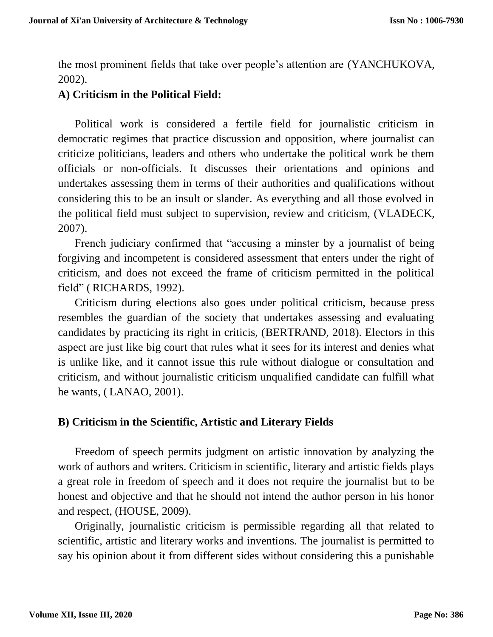the most prominent fields that take over people's attention are (YANCHUKOVA, 2002).

### **A) Criticism in the Political Field:**

 Political work is considered a fertile field for journalistic criticism in democratic regimes that practice discussion and opposition, where journalist can criticize politicians, leaders and others who undertake the political work be them officials or non-officials. It discusses their orientations and opinions and undertakes assessing them in terms of their authorities and qualifications without considering this to be an insult or slander. As everything and all those evolved in the political field must subject to supervision, review and criticism, (VLADECK, 2007).

 French judiciary confirmed that "accusing a minster by a journalist of being forgiving and incompetent is considered assessment that enters under the right of criticism, and does not exceed the frame of criticism permitted in the political field" ( RICHARDS, 1992).

 Criticism during elections also goes under political criticism, because press resembles the guardian of the society that undertakes assessing and evaluating candidates by practicing its right in criticis, (BERTRAND, 2018). Electors in this aspect are just like big court that rules what it sees for its interest and denies what is unlike like, and it cannot issue this rule without dialogue or consultation and criticism, and without journalistic criticism unqualified candidate can fulfill what he wants, ( LANAO, 2001).

### **B) Criticism in the Scientific, Artistic and Literary Fields**

 Freedom of speech permits judgment on artistic innovation by analyzing the work of authors and writers. Criticism in scientific, literary and artistic fields plays a great role in freedom of speech and it does not require the journalist but to be honest and objective and that he should not intend the author person in his honor and respect, (HOUSE, 2009).

 Originally, journalistic criticism is permissible regarding all that related to scientific, artistic and literary works and inventions. The journalist is permitted to say his opinion about it from different sides without considering this a punishable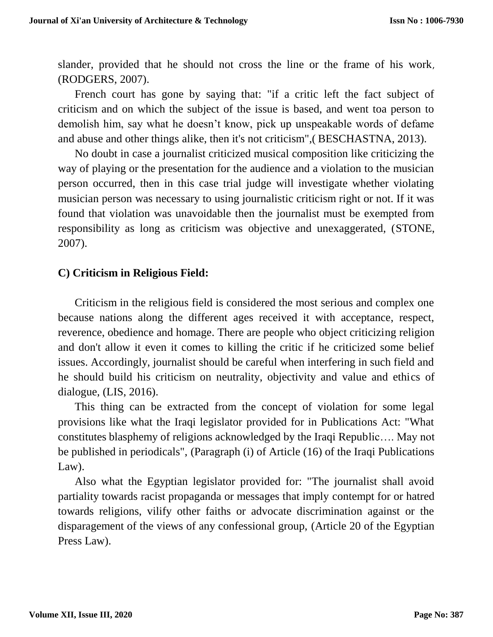slander, provided that he should not cross the line or the frame of his work, (RODGERS, 2007).

 French court has gone by saying that: "if a critic left the fact subject of criticism and on which the subject of the issue is based, and went toa person to demolish him, say what he doesn't know, pick up unspeakable words of defame and abuse and other things alike, then it's not criticism",( BESCHASTNA, 2013).

 No doubt in case a journalist criticized musical composition like criticizing the way of playing or the presentation for the audience and a violation to the musician person occurred, then in this case trial judge will investigate whether violating musician person was necessary to using journalistic criticism right or not. If it was found that violation was unavoidable then the journalist must be exempted from responsibility as long as criticism was objective and unexaggerated, (STONE, 2007).

#### **C) Criticism in Religious Field:**

Criticism in the religious field is considered the most serious and complex one because nations along the different ages received it with acceptance, respect, reverence, obedience and homage. There are people who object criticizing religion and don't allow it even it comes to killing the critic if he criticized some belief issues. Accordingly, journalist should be careful when interfering in such field and he should build his criticism on neutrality, objectivity and value and ethics of dialogue, (LIS, 2016).

 This thing can be extracted from the concept of violation for some legal provisions like what the Iraqi legislator provided for in Publications Act: "What constitutes blasphemy of religions acknowledged by the Iraqi Republic…. May not be published in periodicals", (Paragraph (i) of Article (16) of the Iraqi Publications Law).

 Also what the Egyptian legislator provided for: "The journalist shall avoid partiality towards racist propaganda or messages that imply contempt for or hatred towards religions, vilify other faiths or advocate discrimination against or the disparagement of the views of any confessional group, (Article 20 of the Egyptian Press Law).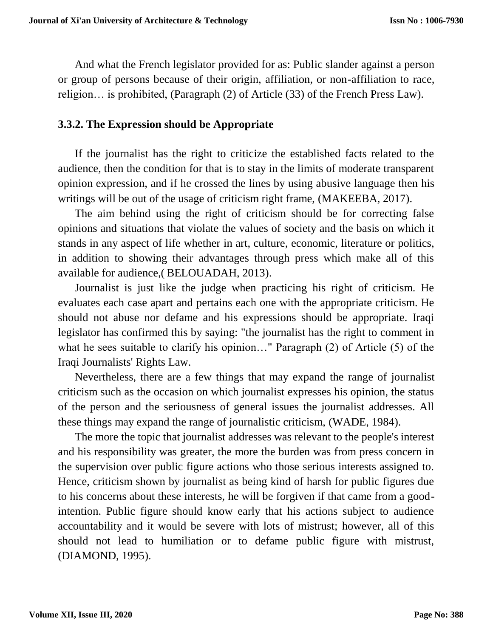And what the French legislator provided for as: Public slander against a person or group of persons because of their origin, affiliation, or non-affiliation to race, religion… is prohibited, (Paragraph (2) of Article (33) of the French Press Law).

#### **3.3.2. The Expression should be Appropriate**

 If the journalist has the right to criticize the established facts related to the audience, then the condition for that is to stay in the limits of moderate transparent opinion expression, and if he crossed the lines by using abusive language then his writings will be out of the usage of criticism right frame, (MAKEEBA, 2017).

 The aim behind using the right of criticism should be for correcting false opinions and situations that violate the values of society and the basis on which it stands in any aspect of life whether in art, culture, economic, literature or politics, in addition to showing their advantages through press which make all of this available for audience,( BELOUADAH, 2013).

 Journalist is just like the judge when practicing his right of criticism. He evaluates each case apart and pertains each one with the appropriate criticism. He should not abuse nor defame and his expressions should be appropriate. Iraqi legislator has confirmed this by saying: "the journalist has the right to comment in what he sees suitable to clarify his opinion…" Paragraph (2) of Article (5) of the Iraqi Journalists' Rights Law.

 Nevertheless, there are a few things that may expand the range of journalist criticism such as the occasion on which journalist expresses his opinion, the status of the person and the seriousness of general issues the journalist addresses. All these things may expand the range of journalistic criticism, (WADE, 1984).

 The more the topic that journalist addresses was relevant to the people's interest and his responsibility was greater, the more the burden was from press concern in the supervision over public figure actions who those serious interests assigned to. Hence, criticism shown by journalist as being kind of harsh for public figures due to his concerns about these interests, he will be forgiven if that came from a goodintention. Public figure should know early that his actions subject to audience accountability and it would be severe with lots of mistrust; however, all of this should not lead to humiliation or to defame public figure with mistrust, (DIAMOND, 1995).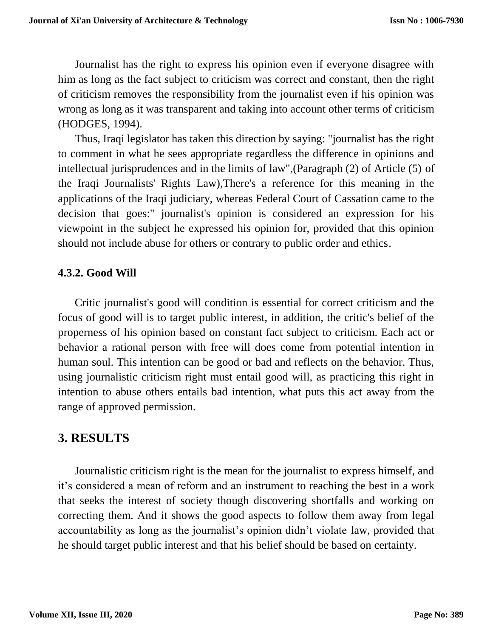Journalist has the right to express his opinion even if everyone disagree with him as long as the fact subject to criticism was correct and constant, then the right of criticism removes the responsibility from the journalist even if his opinion was wrong as long as it was transparent and taking into account other terms of criticism (HODGES, 1994).

 Thus, Iraqi legislator has taken this direction by saying: "journalist has the right to comment in what he sees appropriate regardless the difference in opinions and intellectual jurisprudences and in the limits of law",(Paragraph (2) of Article (5) of the Iraqi Journalists' Rights Law),There's a reference for this meaning in the applications of the Iraqi judiciary, whereas Federal Court of Cassation came to the decision that goes:" journalist's opinion is considered an expression for his viewpoint in the subject he expressed his opinion for, provided that this opinion should not include abuse for others or contrary to public order and ethics.

### **4.3.2. Good Will**

 Critic journalist's good will condition is essential for correct criticism and the focus of good will is to target public interest, in addition, the critic's belief of the properness of his opinion based on constant fact subject to criticism. Each act or behavior a rational person with free will does come from potential intention in human soul. This intention can be good or bad and reflects on the behavior. Thus, using journalistic criticism right must entail good will, as practicing this right in intention to abuse others entails bad intention, what puts this act away from the range of approved permission.

### **3. RESULTS**

 Journalistic criticism right is the mean for the journalist to express himself, and it's considered a mean of reform and an instrument to reaching the best in a work that seeks the interest of society though discovering shortfalls and working on correcting them. And it shows the good aspects to follow them away from legal accountability as long as the journalist's opinion didn't violate law, provided that he should target public interest and that his belief should be based on certainty.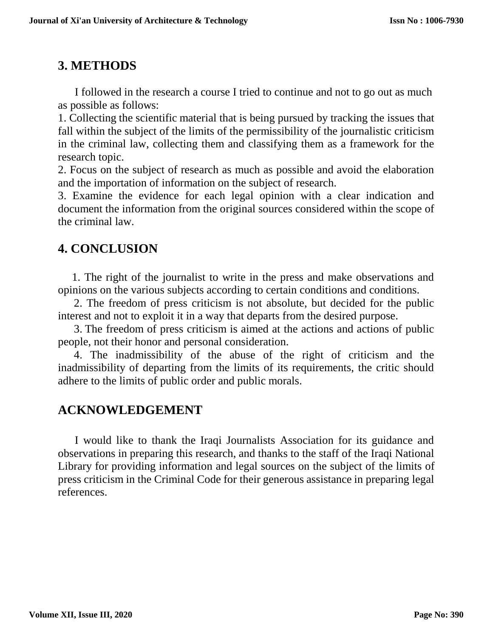# **3. METHODS**

 I followed in the research a course I tried to continue and not to go out as much as possible as follows:

1. Collecting the scientific material that is being pursued by tracking the issues that fall within the subject of the limits of the permissibility of the journalistic criticism in the criminal law, collecting them and classifying them as a framework for the research topic.

2. Focus on the subject of research as much as possible and avoid the elaboration and the importation of information on the subject of research.

3. Examine the evidence for each legal opinion with a clear indication and document the information from the original sources considered within the scope of the criminal law.

# **4. CONCLUSION**

 1. The right of the journalist to write in the press and make observations and opinions on the various subjects according to certain conditions and conditions.

 2. The freedom of press criticism is not absolute, but decided for the public interest and not to exploit it in a way that departs from the desired purpose.

 3. The freedom of press criticism is aimed at the actions and actions of public people, not their honor and personal consideration.

 4. The inadmissibility of the abuse of the right of criticism and the inadmissibility of departing from the limits of its requirements, the critic should adhere to the limits of public order and public morals.

## **ACKNOWLEDGEMENT**

 I would like to thank the Iraqi Journalists Association for its guidance and observations in preparing this research, and thanks to the staff of the Iraqi National Library for providing information and legal sources on the subject of the limits of press criticism in the Criminal Code for their generous assistance in preparing legal references.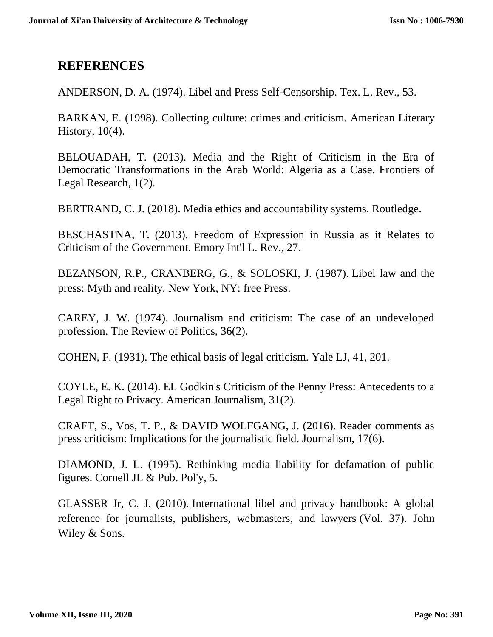### **REFERENCES**

ANDERSON, D. A. (1974). Libel and Press Self-Censorship. Tex. L. Rev., 53.

BARKAN, E. (1998). Collecting culture: crimes and criticism. American Literary History, 10(4).

BELOUADAH, T. (2013). Media and the Right of Criticism in the Era of Democratic Transformations in the Arab World: Algeria as a Case. Frontiers of Legal Research, 1(2).

BERTRAND, C. J. (2018). Media ethics and accountability systems. Routledge.

BESCHASTNA, T. (2013). Freedom of Expression in Russia as it Relates to Criticism of the Government. Emory Int'l L. Rev., 27.

BEZANSON, R.P., CRANBERG, G., & SOLOSKI, J. (1987). Libel law and the press: Myth and reality. New York, NY: free Press.

CAREY, J. W. (1974). Journalism and criticism: The case of an undeveloped profession. The Review of Politics, 36(2).

COHEN, F. (1931). The ethical basis of legal criticism. Yale LJ, 41, 201.

COYLE, E. K. (2014). EL Godkin's Criticism of the Penny Press: Antecedents to a Legal Right to Privacy. American Journalism, 31(2).

CRAFT, S., Vos, T. P., & DAVID WOLFGANG, J. (2016). Reader comments as press criticism: Implications for the journalistic field. Journalism, 17(6).

DIAMOND, J. L. (1995). Rethinking media liability for defamation of public figures. Cornell JL & Pub. Pol'y, 5.

GLASSER Jr, C. J. (2010). International libel and privacy handbook: A global reference for journalists, publishers, webmasters, and lawyers (Vol. 37). John Wiley & Sons.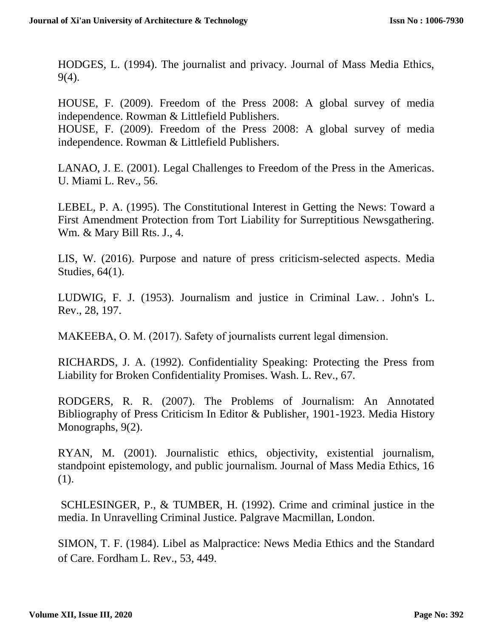HODGES, L. (1994). The journalist and privacy. Journal of Mass Media Ethics, 9(4).

HOUSE, F. (2009). Freedom of the Press 2008: A global survey of media independence. Rowman & Littlefield Publishers.

HOUSE, F. (2009). Freedom of the Press 2008: A global survey of media independence. Rowman & Littlefield Publishers.

LANAO, J. E. (2001). Legal Challenges to Freedom of the Press in the Americas. U. Miami L. Rev., 56.

LEBEL, P. A. (1995). The Constitutional Interest in Getting the News: Toward a First Amendment Protection from Tort Liability for Surreptitious Newsgathering. Wm. & Mary Bill Rts. J., 4.

LIS, W. (2016). Purpose and nature of press criticism-selected aspects. Media Studies, 64(1).

LUDWIG, F. J. (1953). Journalism and justice in Criminal Law. . John's L. Rev., 28, 197.

MAKEEBA, O. M. (2017). Safety of journalists current legal dimension.

RICHARDS, J. A. (1992). Confidentiality Speaking: Protecting the Press from Liability for Broken Confidentiality Promises. Wash. L. Rev., 67.

RODGERS, R. R. (2007). The Problems of Journalism: An Annotated Bibliography of Press Criticism In Editor & Publisher, 1901-1923. Media History Monographs,  $9(2)$ .

RYAN, M. (2001). Journalistic ethics, objectivity, existential journalism, standpoint epistemology, and public journalism. Journal of Mass Media Ethics, 16 (1).

SCHLESINGER, P., & TUMBER, H. (1992). Crime and criminal justice in the media. In Unravelling Criminal Justice. Palgrave Macmillan, London.

SIMON, T. F. (1984). Libel as Malpractice: News Media Ethics and the Standard of Care. Fordham L. Rev., 53, 449.